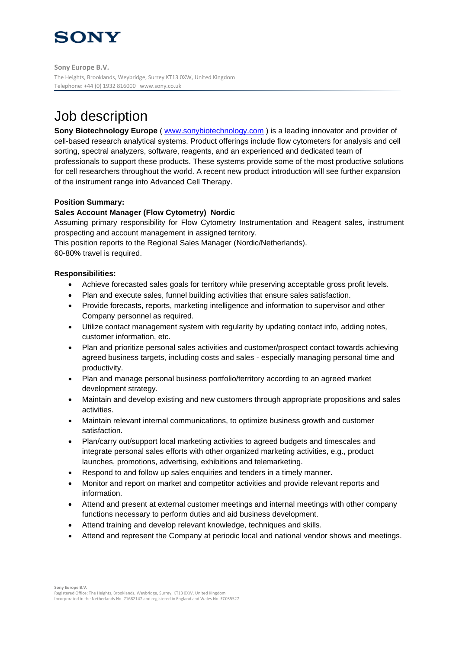# **SONY**

**Sony Europe B.V.** The Heights, Brooklands, Weybridge, Surrey KT13 0XW, United Kingdom Telephone: +44 (0) 1932 816000 www.sony.co.uk

### Job description

**Sony Biotechnology Europe** (**[www.sonybiotechnology.com](http://www.sonybiotechnology.com/)**) is a leading innovator and provider of cell-based research analytical systems. Product offerings include flow cytometers for analysis and cell sorting, spectral analyzers, software, reagents, and an experienced and dedicated team of professionals to support these products. These systems provide some of the most productive solutions for cell researchers throughout the world. A recent new product introduction will see further expansion of the instrument range into Advanced Cell Therapy.

#### **Position Summary:**

#### **Sales Account Manager (Flow Cytometry) Nordic**

Assuming primary responsibility for Flow Cytometry Instrumentation and Reagent sales, instrument prospecting and account management in assigned territory.

This position reports to the Regional Sales Manager (Nordic/Netherlands). 60-80% travel is required.

#### **Responsibilities:**

- Achieve forecasted sales goals for territory while preserving acceptable gross profit levels.
- Plan and execute sales, funnel building activities that ensure sales satisfaction.
- Provide forecasts, reports, marketing intelligence and information to supervisor and other Company personnel as required.
- Utilize contact management system with regularity by updating contact info, adding notes, customer information, etc.
- Plan and prioritize personal sales activities and customer/prospect contact towards achieving agreed business targets, including costs and sales - especially managing personal time and productivity.
- Plan and manage personal business portfolio/territory according to an agreed market development strategy.
- Maintain and develop existing and new customers through appropriate propositions and sales activities.
- Maintain relevant internal communications, to optimize business growth and customer satisfaction.
- Plan/carry out/support local marketing activities to agreed budgets and timescales and integrate personal sales efforts with other organized marketing activities, e.g., product launches, promotions, advertising, exhibitions and telemarketing.
- Respond to and follow up sales enquiries and tenders in a timely manner.
- Monitor and report on market and competitor activities and provide relevant reports and information.
- Attend and present at external customer meetings and internal meetings with other company functions necessary to perform duties and aid business development.
- Attend training and develop relevant knowledge, techniques and skills.
- Attend and represent the Company at periodic local and national vendor shows and meetings.